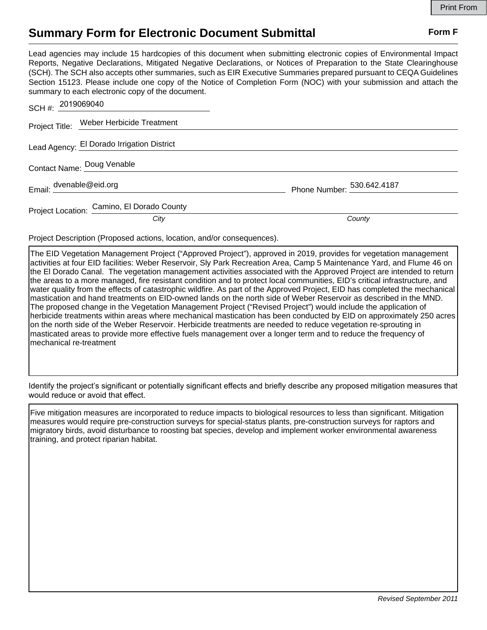## **Summary Form for Electronic Document Submittal Form F Form F**

Lead agencies may include 15 hardcopies of this document when submitting electronic copies of Environmental Impact Reports, Negative Declarations, Mitigated Negative Declarations, or Notices of Preparation to the State Clearinghouse (SCH). The SCH also accepts other summaries, such as EIR Executive Summaries prepared pursuant to CEQA Guidelines Section 15123. Please include one copy of the Notice of Completion Form (NOC) with your submission and attach the summary to each electronic copy of the document.

| SCH #: 2019069040                          |                            |
|--------------------------------------------|----------------------------|
| Project Title: Weber Herbicide Treatment   |                            |
| Lead Agency: El Dorado Irrigation District |                            |
| Contact Name: Doug Venable                 |                            |
| Email: dvenable@eid.org                    | Phone Number: 530.642.4187 |
| Project Location: Camino, El Dorado County |                            |
| City                                       | County                     |

Project Description (Proposed actions, location, and/or consequences).

The EID Vegetation Management Project ("Approved Project"), approved in 2019, provides for vegetation management activities at four EID facilities: Weber Reservoir, Sly Park Recreation Area, Camp 5 Maintenance Yard, and Flume 46 on the El Dorado Canal. The vegetation management activities associated with the Approved Project are intended to return the areas to a more managed, fire resistant condition and to protect local communities, EID's critical infrastructure, and water quality from the effects of catastrophic wildfire. As part of the Approved Project, EID has completed the mechanical mastication and hand treatments on EID-owned lands on the north side of Weber Reservoir as described in the MND. The proposed change in the Vegetation Management Project ("Revised Project") would include the application of herbicide treatments within areas where mechanical mastication has been conducted by EID on approximately 250 acres on the north side of the Weber Reservoir. Herbicide treatments are needed to reduce vegetation re-sprouting in masticated areas to provide more effective fuels management over a longer term and to reduce the frequency of mechanical re-treatment

Identify the project's significant or potentially significant effects and briefly describe any proposed mitigation measures that would reduce or avoid that effect.

Five mitigation measures are incorporated to reduce impacts to biological resources to less than significant. Mitigation measures would require pre-construction surveys for special-status plants, pre-construction surveys for raptors and migratory birds, avoid disturbance to roosting bat species, develop and implement worker environmental awareness training, and protect riparian habitat.